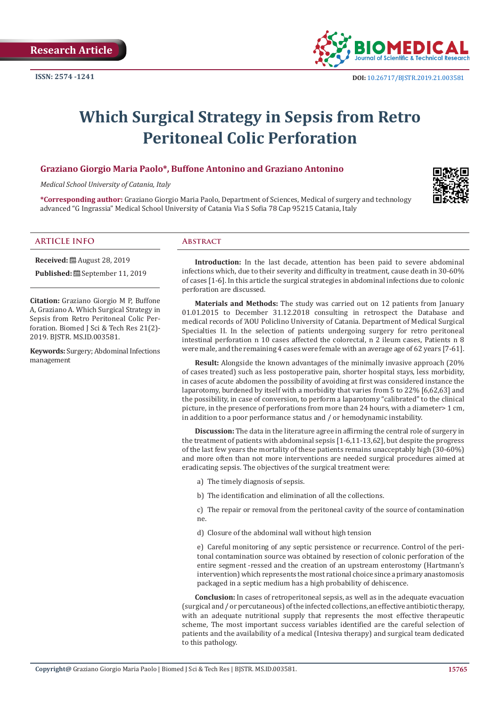

# **Which Surgical Strategy in Sepsis from Retro Peritoneal Colic Perforation**

# **Graziano Giorgio Maria Paolo\*, Buffone Antonino and Graziano Antonino**

*Medical School University of Catania, Italy*

**\*Corresponding author:** Graziano Giorgio Maria Paolo, Department of Sciences, Medical of surgery and technology advanced "G Ingrassia" Medical School University of Catania Via S Sofia 78 Cap 95215 Catania, Italy

### **ARTICLE INFO Abstract**

**Received:** ■ August 28, 2019

Published: **■** September 11, 2019

**Citation:** Graziano Giorgio M P, Buffone A, Graziano A. Which Surgical Strategy in Sepsis from Retro Peritoneal Colic Perforation. Biomed J Sci & Tech Res 21(2)-2019. BJSTR. MS.ID.003581.

**Keywords:** Surgery; Abdominal Infections management

**Introduction:** In the last decade, attention has been paid to severe abdominal infections which, due to their severity and difficulty in treatment, cause death in 30-60% of cases [1-6]. In this article the surgical strategies in abdominal infections due to colonic perforation are discussed.

**Materials and Methods:** The study was carried out on 12 patients from January 01.01.2015 to December 31.12.2018 consulting in retrospect the Database and medical records of 'AOU Policlino University of Catania. Department of Medical Surgical Specialties II. In the selection of patients undergoing surgery for retro peritoneal intestinal perforation n 10 cases affected the colorectal, n 2 ileum cases, Patients n 8 were male, and the remaining 4 cases were female with an average age of 62 years [7-61].

**Result:** Alongside the known advantages of the minimally invasive approach (20% of cases treated) such as less postoperative pain, shorter hospital stays, less morbidity, in cases of acute abdomen the possibility of avoiding at first was considered instance the laparotomy, burdened by itself with a morbidity that varies from 5 to 22% [6,62,63] and the possibility, in case of conversion, to perform a laparotomy "calibrated" to the clinical picture, in the presence of perforations from more than 24 hours, with a diameter> 1 cm, in addition to a poor performance status and / or hemodynamic instability.

**Discussion:** The data in the literature agree in affirming the central role of surgery in the treatment of patients with abdominal sepsis [1-6,11-13,62], but despite the progress of the last few years the mortality of these patients remains unacceptably high (30-60%) and more often than not more interventions are needed surgical procedures aimed at eradicating sepsis. The objectives of the surgical treatment were:

- a) The timely diagnosis of sepsis.
- b) The identification and elimination of all the collections.

c) The repair or removal from the peritoneal cavity of the source of contamination ne.

d) Closure of the abdominal wall without high tension

e) Careful monitoring of any septic persistence or recurrence. Control of the peritonal contamination source was obtained by resection of colonic perforation of the entire segment -ressed and the creation of an upstream enterostomy (Hartmann's intervention) which represents the most rational choice since a primary anastomosis packaged in a septic medium has a high probability of dehiscence.

**Conclusion:** In cases of retroperitoneal sepsis, as well as in the adequate evacuation (surgical and / or percutaneous) of the infected collections, an effective antibiotic therapy, with an adequate nutritional supply that represents the most effective therapeutic scheme, The most important success variables identified are the careful selection of patients and the availability of a medical (Intesiva therapy) and surgical team dedicated to this pathology.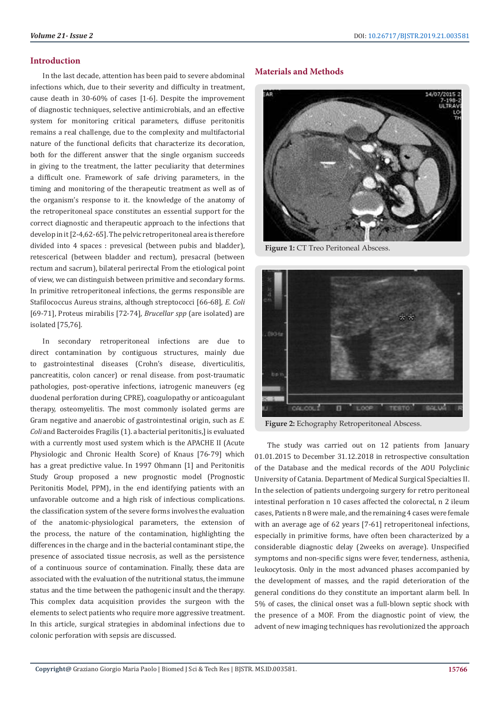#### **Introduction**

In the last decade, attention has been paid to severe abdominal infections which, due to their severity and difficulty in treatment, cause death in 30-60% of cases [1-6]. Despite the improvement of diagnostic techniques, selective antimicrobials, and an effective system for monitoring critical parameters, diffuse peritonitis remains a real challenge, due to the complexity and multifactorial nature of the functional deficits that characterize its decoration, both for the different answer that the single organism succeeds in giving to the treatment, the latter peculiarity that determines a difficult one. Framework of safe driving parameters, in the timing and monitoring of the therapeutic treatment as well as of the organism's response to it. the knowledge of the anatomy of the retroperitoneal space constitutes an essential support for the correct diagnostic and therapeutic approach to the infections that develop in it [2-4,62-65]. The pelvic retroperitoneal area is therefore divided into 4 spaces : prevesical (between pubis and bladder), retescerical (between bladder and rectum), presacral (between rectum and sacrum), bilateral perirectal From the etiological point of view, we can distinguish between primitive and secondary forms. In primitive retroperitoneal infections, the germs responsible are Stafilococcus Aureus strains, although streptococci [66-68], *E. Coli*  [69-71], Proteus mirabilis [72-74], *Brucellar spp* (are isolated) are isolated [75,76].

In secondary retroperitoneal infections are due to direct contamination by contiguous structures, mainly due to gastrointestinal diseases (Crohn's disease, diverticulitis, pancreatitis, colon cancer) or renal disease. from post-traumatic pathologies, post-operative infections, iatrogenic maneuvers (eg duodenal perforation during CPRE), coagulopathy or anticoagulant therapy, osteomyelitis. The most commonly isolated germs are Gram negative and anaerobic of gastrointestinal origin, such as *E. Coli* and Bacteroides Fragilis (1). a bacterial peritonitis,] is evaluated with a currently most used system which is the APACHE II (Acute Physiologic and Chronic Health Score) of Knaus [76-79] which has a great predictive value. In 1997 Ohmann [1] and Peritonitis Study Group proposed a new prognostic model (Prognostic Peritonitis Model, PPM), in the end identifying patients with an unfavorable outcome and a high risk of infectious complications. the classification system of the severe forms involves the evaluation of the anatomic-physiological parameters, the extension of the process, the nature of the contamination, highlighting the differences in the charge and in the bacterial contaminant stipe, the presence of associated tissue necrosis, as well as the persistence of a continuous source of contamination. Finally, these data are associated with the evaluation of the nutritional status, the immune status and the time between the pathogenic insult and the therapy. This complex data acquisition provides the surgeon with the elements to select patients who require more aggressive treatment. In this article, surgical strategies in abdominal infections due to colonic perforation with sepsis are discussed.

#### **Materials and Methods**



**Figure 1:** CT Treo Peritoneal Abscess.



**Figure 2:** Echography Retroperitoneal Abscess.

The study was carried out on 12 patients from January 01.01.2015 to December 31.12.2018 in retrospective consultation of the Database and the medical records of the AOU Polyclinic University of Catania. Department of Medical Surgical Specialties II. In the selection of patients undergoing surgery for retro peritoneal intestinal perforation n 10 cases affected the colorectal, n 2 ileum cases, Patients n 8 were male, and the remaining 4 cases were female with an average age of 62 years [7-61] retroperitoneal infections, especially in primitive forms, have often been characterized by a considerable diagnostic delay (2weeks on average). Unspecified symptoms and non-specific signs were fever, tenderness, asthenia, leukocytosis. Only in the most advanced phases accompanied by the development of masses, and the rapid deterioration of the general conditions do they constitute an important alarm bell. In 5% of cases, the clinical onset was a full-blown septic shock with the presence of a MOF. From the diagnostic point of view, the advent of new imaging techniques has revolutionized the approach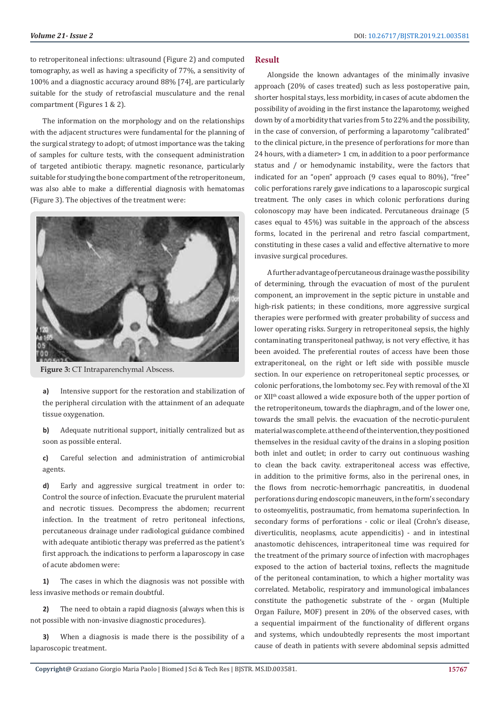to retroperitoneal infections: ultrasound (Figure 2) and computed tomography, as well as having a specificity of 77%, a sensitivity of 100% and a diagnostic accuracy around 88% [74], are particularly suitable for the study of retrofascial musculature and the renal compartment (Figures 1 & 2).

The information on the morphology and on the relationships with the adjacent structures were fundamental for the planning of the surgical strategy to adopt; of utmost importance was the taking of samples for culture tests, with the consequent administration of targeted antibiotic therapy. magnetic resonance, particularly suitable for studying the bone compartment of the retroperitoneum, was also able to make a differential diagnosis with hematomas (Figure 3). The objectives of the treatment were:



**Figure 3:** CT Intraparenchymal Abscess.

**a)** Intensive support for the restoration and stabilization of the peripheral circulation with the attainment of an adequate tissue oxygenation.

**b)** Adequate nutritional support, initially centralized but as soon as possible enteral.

**c)** Careful selection and administration of antimicrobial agents.

**d)** Early and aggressive surgical treatment in order to: Control the source of infection. Evacuate the prurulent material and necrotic tissues. Decompress the abdomen; recurrent infection. In the treatment of retro peritoneal infections, percutaneous drainage under radiological guidance combined with adequate antibiotic therapy was preferred as the patient's first approach. the indications to perform a laparoscopy in case of acute abdomen were:

**1)** The cases in which the diagnosis was not possible with less invasive methods or remain doubtful.

**2)** The need to obtain a rapid diagnosis (always when this is not possible with non-invasive diagnostic procedures).

**3)** When a diagnosis is made there is the possibility of a laparoscopic treatment.

#### **Result**

Alongside the known advantages of the minimally invasive approach (20% of cases treated) such as less postoperative pain, shorter hospital stays, less morbidity, in cases of acute abdomen the possibility of avoiding in the first instance the laparotomy, weighed down by of a morbidity that varies from 5 to 22% and the possibility, in the case of conversion, of performing a laparotomy "calibrated" to the clinical picture, in the presence of perforations for more than 24 hours, with a diameter> 1 cm, in addition to a poor performance status and / or hemodynamic instability., were the factors that indicated for an "open" approach (9 cases equal to 80%), "free" colic perforations rarely gave indications to a laparoscopic surgical treatment. The only cases in which colonic perforations during colonoscopy may have been indicated. Percutaneous drainage (5 cases equal to 45%) was suitable in the approach of the abscess forms, located in the perirenal and retro fascial compartment, constituting in these cases a valid and effective alternative to more invasive surgical procedures.

A further advantage of percutaneous drainage was the possibility of determining, through the evacuation of most of the purulent component, an improvement in the septic picture in unstable and high-risk patients; in these conditions, more aggressive surgical therapies were performed with greater probability of success and lower operating risks. Surgery in retroperitoneal sepsis, the highly contaminating transperitoneal pathway, is not very effective, it has been avoided. The preferential routes of access have been those extraperitoneal, on the right or left side with possible muscle section. In our experience on retroperitoneal septic processes, or colonic perforations, the lombotomy sec. Fey with removal of the XI or XIIth coast allowed a wide exposure both of the upper portion of the retroperitoneum, towards the diaphragm, and of the lower one, towards the small pelvis. the evacuation of the necrotic-purulent material was complete. at the end of the intervention, they positioned themselves in the residual cavity of the drains in a sloping position both inlet and outlet; in order to carry out continuous washing to clean the back cavity. extraperitoneal access was effective, in addition to the primitive forms, also in the perirenal ones, in the flows from necrotic-hemorrhagic pancreatitis, in duodenal perforations during endoscopic maneuvers, in the form's secondary to osteomyelitis, postraumatic, from hematoma superinfection. In secondary forms of perforations - colic or ileal (Crohn's disease, diverticulitis, neoplasms, acute appendicitis) - and in intestinal anastomotic dehiscences, intraperitoneal time was required for the treatment of the primary source of infection with macrophages exposed to the action of bacterial toxins, reflects the magnitude of the peritoneal contamination, to which a higher mortality was correlated. Metabolic, respiratory and immunological imbalances constitute the pathogenetic substrate of the - organ (Multiple Organ Failure, MOF) present in 20% of the observed cases, with a sequential impairment of the functionality of different organs and systems, which undoubtedly represents the most important cause of death in patients with severe abdominal sepsis admitted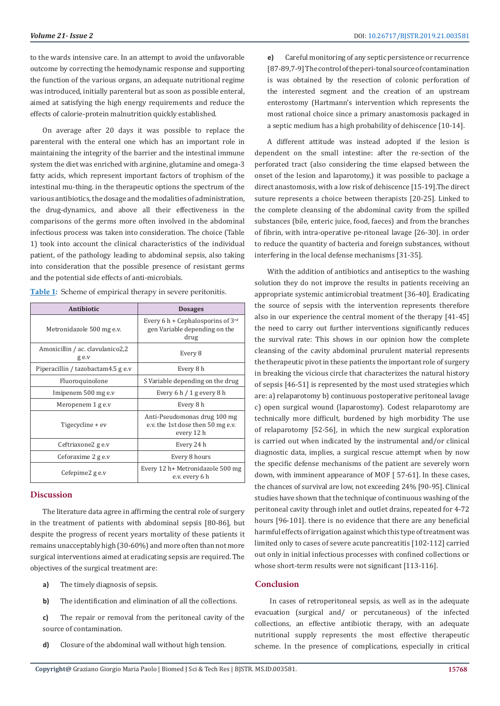to the wards intensive care. In an attempt to avoid the unfavorable outcome by correcting the hemodynamic response and supporting the function of the various organs, an adequate nutritional regime was introduced, initially parenteral but as soon as possible enteral, aimed at satisfying the high energy requirements and reduce the effects of calorie-protein malnutrition quickly established.

On average after 20 days it was possible to replace the parenteral with the enteral one which has an important role in maintaining the integrity of the barrier and the intestinal immune system the diet was enriched with arginine, glutamine and omega-3 fatty acids, which represent important factors of trophism of the intestinal mu-thing. in the therapeutic options the spectrum of the various antibiotics, the dosage and the modalities of administration, the drug-dynamics, and above all their effectiveness in the comparisons of the germs more often involved in the abdominal infectious process was taken into consideration. The choice (Table 1) took into account the clinical characteristics of the individual patient, of the pathology leading to abdominal sepsis, also taking into consideration that the possible presence of resistant germs and the potential side effects of anti-microbials.

| Antibiotic                                | <b>Dosages</b>                                                                         |
|-------------------------------------------|----------------------------------------------------------------------------------------|
| Metronidazole 500 mg e.v.                 | Every 6 h + Cephalosporins of $3^{\text{rd}}$<br>gen Variable depending on the<br>drug |
| Amoxicillin / ac. clavulanico2,2<br>g e.v | Every 8                                                                                |
| Piperacillin / tazobactam4.5 g e.v        | Every 8 h                                                                              |
| Fluoroquinolone                           | S Variable depending on the drug                                                       |
| Imipenem 500 mg e.v                       | Every 6 h $/$ 1 g every 8 h                                                            |
| Meropenem 1 g e.v                         | Every 8 h                                                                              |
| Tigecycline + ev                          | Anti-Pseudomonas drug 100 mg<br>e.v. the 1st dose then 50 mg e.v.<br>every 12 h        |
| Ceftriaxone2 g e.v                        | Every 24 h                                                                             |
| Ceforaxime 2 g e.v                        | Every 8 hours                                                                          |
| Cefepime2 g e.v                           | Every 12 h+ Metronidazole 500 mg<br>e.v. every 6 h                                     |

**Table 1:** Scheme of empirical therapy in severe peritonitis.

# **Discussion**

The literature data agree in affirming the central role of surgery in the treatment of patients with abdominal sepsis [80-86], but despite the progress of recent years mortality of these patients it remains unacceptably high (30-60%) and more often than not more surgical interventions aimed at eradicating sepsis are required. The objectives of the surgical treatment are:

- **a)** The timely diagnosis of sepsis.
- **b)** The identification and elimination of all the collections.
- **c)** The repair or removal from the peritoneal cavity of the source of contamination.
- **d)** Closure of the abdominal wall without high tension.

**e)** Careful monitoring of any septic persistence or recurrence [87-89,7-9] The control of the peri-tonal source of contamination is was obtained by the resection of colonic perforation of the interested segment and the creation of an upstream enterostomy (Hartmann's intervention which represents the most rational choice since a primary anastomosis packaged in a septic medium has a high probability of dehiscence [10-14].

A different attitude was instead adopted if the lesion is dependent on the small intestine: after the re-section of the perforated tract (also considering the time elapsed between the onset of the lesion and laparotomy,) it was possible to package a direct anastomosis, with a low risk of dehiscence [15-19].The direct suture represents a choice between therapists [20-25]. Linked to the complete cleansing of the abdominal cavity from the spilled substances (bile, enteric juice, food, faeces) and from the branches of fibrin, with intra-operative pe-ritoneal lavage [26-30]. in order to reduce the quantity of bacteria and foreign substances, without interfering in the local defense mechanisms [31-35].

With the addition of antibiotics and antiseptics to the washing solution they do not improve the results in patients receiving an appropriate systemic antimicrobial treatment [36-40]. Eradicating the source of sepsis with the intervention represents therefore also in our experience the central moment of the therapy [41-45] the need to carry out further interventions significantly reduces the survival rate: This shows in our opinion how the complete cleansing of the cavity abdominal prurulent material represents the therapeutic pivot in these patients the important role of surgery in breaking the vicious circle that characterizes the natural history of sepsis [46-51] is represented by the most used strategies which are: a) relaparotomy b) continuous postoperative peritoneal lavage c) open surgical wound (laparostomy). Codest relaparotomy are technically more difficult, burdened by high morbidity The use of relaparotomy [52-56], in which the new surgical exploration is carried out when indicated by the instrumental and/or clinical diagnostic data, implies, a surgical rescue attempt when by now the specific defense mechanisms of the patient are severely worn down, with imminent appearance of MOF [ 57-61]. In these cases, the chances of survival are low, not exceeding 24% [90-95]. Clinical studies have shown that the technique of continuous washing of the peritoneal cavity through inlet and outlet drains, repeated for 4-72 hours [96-101]. there is no evidence that there are any beneficial harmful effects of irrigation against which this type of treatment was limited only to cases of severe acute pancreatitis [102-112] carried out only in initial infectious processes with confined collections or whose short-term results were not significant [113-116].

#### **Conclusion**

 In cases of retroperitoneal sepsis, as well as in the adequate evacuation (surgical and/ or percutaneous) of the infected collections, an effective antibiotic therapy, with an adequate nutritional supply represents the most effective therapeutic scheme. In the presence of complications, especially in critical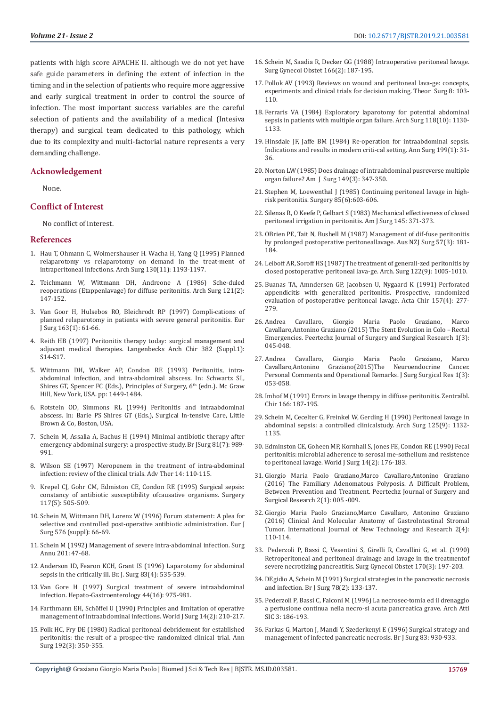patients with high score APACHE II. although we do not yet have safe guide parameters in defining the extent of infection in the timing and in the selection of patients who require more aggressive and early surgical treatment in order to control the source of infection. The most important success variables are the careful selection of patients and the availability of a medical (Intesiva therapy) and surgical team dedicated to this pathology, which due to its complexity and multi-factorial nature represents a very demanding challenge.

#### **Acknowledgement**

None.

#### **Conflict of Interest**

No conflict of interest.

#### **References**

- 1. [Hau T, Ohmann C, Wolmershauser H. Wacha H, Yang Q \(1995\) Planned](https://www.ncbi.nlm.nih.gov/pubmed/7487462)  [relaparotomy vs relaparotomy on demand in the treat-ment of](https://www.ncbi.nlm.nih.gov/pubmed/7487462)  [intraperitoneal infections. Arch Surg 130\(11\): 1193-1197.](https://www.ncbi.nlm.nih.gov/pubmed/7487462)
- 2. [Teichmann W, Wittmann DH, Andreone A \(1986\) Sche-duled](https://jamanetwork.com/journals/jamasurgery/fullarticle/591529)  [reoperations \(Etappenlavage\) for diffuse peritonitis. Arch Surg 121\(2\):](https://jamanetwork.com/journals/jamasurgery/fullarticle/591529)  [147-152.](https://jamanetwork.com/journals/jamasurgery/fullarticle/591529)
- 3. [Van Goor H, Hulsebos RO, Bleichrodt RP \(1997\) Compli-cations of](https://www.ncbi.nlm.nih.gov/pubmed/9116113)  [planned relaparotomy in patients with severe general peritonitis. Eur](https://www.ncbi.nlm.nih.gov/pubmed/9116113)  [J Surg 163\(1\): 61-66.](https://www.ncbi.nlm.nih.gov/pubmed/9116113)
- 4. Reith HB (1997) Peritonitis therapy today: surgical management and adjuvant medical therapies. Langenbecks Arch Chir 382 (Suppl.1): S14-S17.
- 5. Wittmann DH, Walker AP, Condon RE (1993) Peritonitis, intraabdominal infection, and intra-abdominal abscess. In: Schwartz SL, Shires GT, Spencer FC (Eds.), Principles of Surgery,  $6<sup>th</sup>$  (edn.). Mc Graw Hill, New York, USA. pp: 1449-1484.
- 6. Rotstein OD, Simmons RL (1994) Peritonitis and intraabdominal abscess. In: Barie PS Shires GT (Eds.), Surgical In-tensive Care, Little Brown & Co, Boston, USA.
- 7. [Schein M, Assalia A, Bachus H \(1994\) Minimal antibiotic therapy after](https://www.ncbi.nlm.nih.gov/pubmed/7922094)  [emergency abdominal surgery: a prospective study. Br JSurg 81\(7\): 989-](https://www.ncbi.nlm.nih.gov/pubmed/7922094) [991.](https://www.ncbi.nlm.nih.gov/pubmed/7922094)
- 8. Wilson SE (1997) Meropenem in the treatment of intra-abdominal infection: review of the clinical trials. Adv Ther 14: 110-115.
- 9. [Krepel CJ, Gohr CM, Edmiston CE, Condon RE \(1995\) Surgical sepsis:](https://www.surgjournal.com/article/S0039-6060(05)80249-1/fulltext)  [constancy of antibiotic susceptibility ofcausative organisms. Surgery](https://www.surgjournal.com/article/S0039-6060(05)80249-1/fulltext)  [117\(5\): 505-509.](https://www.surgjournal.com/article/S0039-6060(05)80249-1/fulltext)
- 10. Schein M, Wittmann DH, Lorenz W (1996) Forum statement: A plea for selective and controlled post-operative antibiotic administration. Eur J Surg 576 (suppl): 66-69.
- 11. Schein M (1992) Management of severe intra-abdominal infection. Surg Annu 201: 47-68.
- 12. [Anderson ID, Fearon KCH, Grant IS \(1996\) Laparotomy for abdominal](https://www.ncbi.nlm.nih.gov/pubmed/8665253)  [sepsis in the critically ill. Br. J. Surg 83\(4\): 535-539.](https://www.ncbi.nlm.nih.gov/pubmed/8665253)
- 13. [Van Gore H \(1997\) Surgical treatment of severe intraabdominal](https://www.ncbi.nlm.nih.gov/pubmed/9261585)  [infection. Hepato-Gastroenterology 44\(16\): 975-981.](https://www.ncbi.nlm.nih.gov/pubmed/9261585)
- 14. Farthmann EH, Schö[ffel U \(1990\) Principles and limitation of operative](https://www.ncbi.nlm.nih.gov/pubmed/2183484)  [management of intraabdominal infections. World J Surg 14\(2\): 210-217.](https://www.ncbi.nlm.nih.gov/pubmed/2183484)
- 15. [Polk HC, Fry DE \(1980\) Radical peritoneal debridement for established](https://www.ncbi.nlm.nih.gov/pmc/articles/PMC1344915/)  [peritonitis: the result of a prospec-tive randomized clinical trial. Ann](https://www.ncbi.nlm.nih.gov/pmc/articles/PMC1344915/)  [Surg 192\(3\): 350-355.](https://www.ncbi.nlm.nih.gov/pmc/articles/PMC1344915/)
- 16. [Schein M, Saadia R, Decker GG \(1988\) Intraoperative peritoneal lavage.](http://europepmc.org/abstract/med/3276017) [Surg Gynecol Obstet 166\(2\): 187-195.](http://europepmc.org/abstract/med/3276017)
- 17. Pollok AV (1993) Reviews on wound and peritoneal lava-ge: concepts, experiments and clinical trials for decision making. Theor Surg 8: 103- 110.
- 18. [Ferraris VA \(1984\) Exploratory laparotomy for potential abdominal](https://www.ncbi.nlm.nih.gov/pubmed/6615193) [sepsis in patients with multiple organ failure. Arch Surg 118\(10\): 1130-](https://www.ncbi.nlm.nih.gov/pubmed/6615193) [1133.](https://www.ncbi.nlm.nih.gov/pubmed/6615193)
- 19. [Hinsdale JF, Jaffe BM \(1984\) Re-operation for intraabdominal sepsis.](https://www.ncbi.nlm.nih.gov/pmc/articles/PMC1353254/) [Indications and results in modern criti-cal setting. Ann Surg 199\(1\): 31-](https://www.ncbi.nlm.nih.gov/pmc/articles/PMC1353254/) [36.](https://www.ncbi.nlm.nih.gov/pmc/articles/PMC1353254/)
- 20. [Norton LW \(1985\) Does drainage of intraabdominal pusreverse multiple](https://www.sciencedirect.com/science/article/pii/S0002961085801057) [organ failure? Am J Surg 149\(3\): 347-350.](https://www.sciencedirect.com/science/article/pii/S0002961085801057)
- 21. [Stephen M, Loewenthal J \(1985\) Continuing peritoneal lavage in high](https://europepmc.org/abstract/med/451869)[risk peritonitis. Surgery 85\(6\):603-606.](https://europepmc.org/abstract/med/451869)
- 22. Silenas R, O Keefe P, Gelbart S (1983) Mechanical effectiveness of closed peritoneal irrigation in peritonitis. Am J Surg 145: 371-373.
- 23. [OBrien PE, Tait N, Bushell M \(1987\) Management of dif-fuse peritonitis](https://onlinelibrary.wiley.com/doi/abs/10.1111/j.1445-2197.1987.tb01331.x) [by prolonged postoperative peritoneallavage. Aus NZJ Surg 57\(3\): 181-](https://onlinelibrary.wiley.com/doi/abs/10.1111/j.1445-2197.1987.tb01331.x) [184.](https://onlinelibrary.wiley.com/doi/abs/10.1111/j.1445-2197.1987.tb01331.x)
- 24. [Leiboff AR, Soroff HS \(1987\) The treatment of generali-zed peritonitis by](https://jamanetwork.com/journals/jamasurgery/fullarticle/592647) [closed postoperative peritoneal lava-ge. Arch. Surg 122\(9\): 1005-1010.](https://jamanetwork.com/journals/jamasurgery/fullarticle/592647)
- 25. [Buanas TA, Amndersen GP, Jacobsen U, Nygaard K \(1991\) Perforated](https://www.ncbi.nlm.nih.gov/pubmed/1677283) [appendicitis with generalized peritonitis. Prospective, randomized](https://www.ncbi.nlm.nih.gov/pubmed/1677283) [evaluation of postoperative peritoneal lavage. Acta Chir 157\(4\): 277-](https://www.ncbi.nlm.nih.gov/pubmed/1677283) [279.](https://www.ncbi.nlm.nih.gov/pubmed/1677283)
- 26. [Andrea Cavallaro, Giorgio Maria Paolo Graziano, Marco](https://www.peertechz.com/Surgery-Surgical-Research/JSSR-1-112.php) [Cavallaro,Antonino Graziano \(2015\) The Stent Evolution in Colo – Rectal](https://www.peertechz.com/Surgery-Surgical-Research/JSSR-1-112.php) [Emergencies. Peertechz Journal of Surgery and Surgical Research 1\(3\):](https://www.peertechz.com/Surgery-Surgical-Research/JSSR-1-112.php) [045-048.](https://www.peertechz.com/Surgery-Surgical-Research/JSSR-1-112.php)
- 27. [Andrea Cavallaro, Giorgio Maria Paolo Graziano, Marco](https://www.peertechz.com/Surgery-Surgical-Research/JSSR-1-114.php) Graziano(2015)The [Personal Comments and Operational Remarks. J Surg Surgical Res 1\(3\):](https://www.peertechz.com/Surgery-Surgical-Research/JSSR-1-114.php) [053-058.](https://www.peertechz.com/Surgery-Surgical-Research/JSSR-1-114.php)
- 28. Imhof M (1991) Errors in lavage therapy in diffuse peritonitis. Zentralbl. Chir 166: 187-195.
- 29. [Schein M, Cecelter G, Freinkel W, Gerding H \(1990\) Peritoneal lavage in](https://www.ncbi.nlm.nih.gov/pubmed/2400306) [abdominal sepsis: a controlled clinicalstudy. Arch Surg 125\(9\): 1132-](https://www.ncbi.nlm.nih.gov/pubmed/2400306) [1135.](https://www.ncbi.nlm.nih.gov/pubmed/2400306)
- 30. [Edminston CE, Goheen MP, Kornhall S, Jones FE, Condon RE \(1990\) Fecal](https://www.ncbi.nlm.nih.gov/pubmed/2327095) [peritonitis: microbial adherence to serosal me-sothelium and resistence](https://www.ncbi.nlm.nih.gov/pubmed/2327095) [to peritoneal lavage. World J Surg 14\(2\): 176-183.](https://www.ncbi.nlm.nih.gov/pubmed/2327095)
- 31. [Giorgio Maria Paolo Graziano,Marco Cavallaro,Antonino Graziano](https://www.peertechz.com/Surgery-Surgical-Research/JSSR-2-121.php) [\(2016\) The Familiary Adenomatous Polyposis. A Difficult Problem,](https://www.peertechz.com/Surgery-Surgical-Research/JSSR-2-121.php) [Between Prevention and Treatment. Peertechz Journal of Surgery and](https://www.peertechz.com/Surgery-Surgical-Research/JSSR-2-121.php) [Surgical Research 2\(1\): 005 -009.](https://www.peertechz.com/Surgery-Surgical-Research/JSSR-2-121.php)
- 32. [Giorgio Maria Paolo Graziano,Marco Cavallaro, Antonino Graziano](https://pdfs.semanticscholar.org/5aca/cfe903eb8bf89ea520e0ec0597310b6efab9.pdf) [\(2016\) Clinical And Molecular Anatomy of GastroIntestinal Stromal](https://pdfs.semanticscholar.org/5aca/cfe903eb8bf89ea520e0ec0597310b6efab9.pdf) [Tumor. International Journal of New Technology and Research 2\(4\):](https://pdfs.semanticscholar.org/5aca/cfe903eb8bf89ea520e0ec0597310b6efab9.pdf) [110-114.](https://pdfs.semanticscholar.org/5aca/cfe903eb8bf89ea520e0ec0597310b6efab9.pdf)
- 33. [Pederzoli P, Bassi C, Vesentini S, Girelli R, Cavallini G, et al. \(1990\)](https://www.ncbi.nlm.nih.gov/pubmed/2305344) [Retroperitoneal and peritoneal drainage and lavage in the treatmentof](https://www.ncbi.nlm.nih.gov/pubmed/2305344) [severe necrotizing pancreatitis. Surg Gynecol Obstet 170\(3\): 197-203.](https://www.ncbi.nlm.nih.gov/pubmed/2305344)
- 34. [DEgidio A, Schein M \(1991\) Surgical strategies in the pancreatic necrosis](https://www.ncbi.nlm.nih.gov/pubmed/2015459) [and infection. Br J Surg 78\(2\): 133-137.](https://www.ncbi.nlm.nih.gov/pubmed/2015459)
- 35. Pederzoli P, Bassi C, Falconi M (1996) La necrosec-tomia ed il drenaggio a perfusione continua nella necro-si acuta pancreatica grave. Arch Atti SIC 3: 186-193.
- 36. [Farkas G, Marton J, Mandi Y, Szederkenyi E \(1996\) Surgical strategy and](https://www.bjs.co.uk/article/surgical-strategy-and-management-of-infected-pancreatic-necrosis/) [management of infected pancreatic necrosis. Br J Surg 83: 930-933.](https://www.bjs.co.uk/article/surgical-strategy-and-management-of-infected-pancreatic-necrosis/)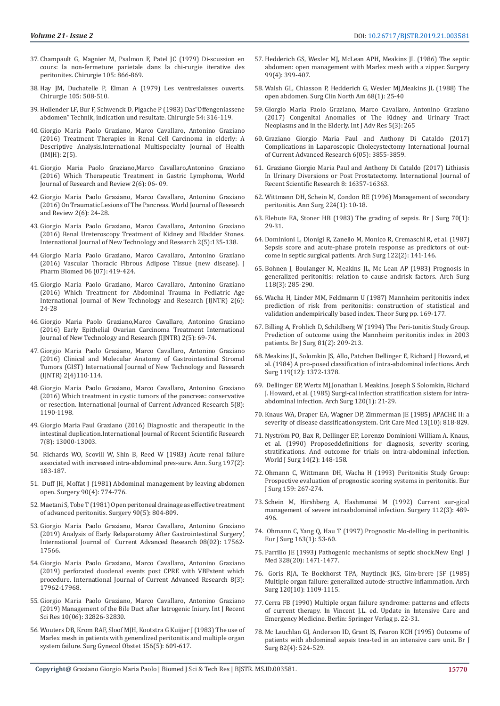- 37. Champault G, Magnier M, Psalmon F, Patel JC (1979) Di-scussion en cours: la non-fermeture parietale dans la chi-rurgie iterative des peritonites. Chirurgie 105: 866-869.
- 38. Hay JM, Duchatelle P, Elman A (1979) Les ventreslaisses ouverts. Chirurgie 105: 508-510.
- 39. Hollender LF, Bur F, Schwenck D, Pigache P (1983) Das"Offengeniassene abdomen" Technik, indication und resultate. Chirurgie 54: 316-119.
- 40. Giorgio Maria Paolo Graziano, Marco Cavallaro, Antonino Graziano (2016) Treatment Therapies in Renal Cell Carcinoma in elderly: A Descriptive Analysis.International Multispecialty Journal of Health (IMJH): 2(5).
- 41. [Giorgio Maria Paolo Graziano,Marco Cavallaro,Antonino Graziano](https://www.wjrr.org/download_data/WJRR0206004.pdf)  [\(2016\) Which Therapeutic Treatment in Gastric Lymphoma, World](https://www.wjrr.org/download_data/WJRR0206004.pdf)  [Journal of Research and Review 2\(6\): 06- 09.](https://www.wjrr.org/download_data/WJRR0206004.pdf)
- 42. [Giorgio Maria Paolo Graziano, Marco Cavallaro, Antonino Graziano](https://pdfs.semanticscholar.org/6396/5e7611c48e5f433af26e4c9883644d5a93a2.pdf)  [\(2016\) On Traumatic Lesions of The Pancreas. World Journal of Research](https://pdfs.semanticscholar.org/6396/5e7611c48e5f433af26e4c9883644d5a93a2.pdf)  [and Review 2\(6\): 24-28.](https://pdfs.semanticscholar.org/6396/5e7611c48e5f433af26e4c9883644d5a93a2.pdf)
- 43. [Giorgio Maria Paolo Graziano, Marco Cavallaro, Antonino Graziano](https://www.ijntr.org/download_data/IJNTR02050054.pdf)  [\(2016\) Renal Ureteroscopy Treatment of Kidney and Bladder Stones.](https://www.ijntr.org/download_data/IJNTR02050054.pdf)  [International Journal of New Technology and Research 2\(5\):135-138.](https://www.ijntr.org/download_data/IJNTR02050054.pdf)
- 44. Giorgio Maria Paolo Graziano, Marco Cavallaro, Antonino Graziano (2016) Vascular Thoracic Fibrous Adipose Tissue (new disease). J Pharm Biomed 06 (07): 419-424.
- 45. [Giorgio Maria Paolo Graziano, Marco Cavallaro, Antonino Graziano](https://www.ijntr.org/download_data/IJNTR02060019.pdf)  [\(2016\) Which Treatment for Abdominal Trauma in Pediatric Age](https://www.ijntr.org/download_data/IJNTR02060019.pdf)  [International Journal of New Technology and Research \(IJNTR\) 2\(6\):](https://www.ijntr.org/download_data/IJNTR02060019.pdf)  [24-28](https://www.ijntr.org/download_data/IJNTR02060019.pdf)
- 46. [Giorgio Maria Paolo Graziano,Marco Cavallaro, Antonino Graziano](https://www.ijntr.org/download_data/IJNTR02050033.pdf)  [\(2016\) Early Epithelial Ovarian Carcinoma Treatment International](https://www.ijntr.org/download_data/IJNTR02050033.pdf)  [Journal of New Technology and Research \(IJNTR\) 2\(5\): 69-74.](https://www.ijntr.org/download_data/IJNTR02050033.pdf)
- 47. [Giorgio Maria Paolo Graziano, Marco Cavallaro, Antonino Graziano](https://pdfs.semanticscholar.org/5aca/cfe903eb8bf89ea520e0ec0597310b6efab9.pdf)  [\(2016\) Clinical and Molecular Anatomy of Gastrointestinal Stromal](https://pdfs.semanticscholar.org/5aca/cfe903eb8bf89ea520e0ec0597310b6efab9.pdf)  [Tumors \(GIST\) International Journal of New Technology and Research](https://pdfs.semanticscholar.org/5aca/cfe903eb8bf89ea520e0ec0597310b6efab9.pdf)  [\(IJNTR\) 2\(4\)110-114.](https://pdfs.semanticscholar.org/5aca/cfe903eb8bf89ea520e0ec0597310b6efab9.pdf)
- 48. Giorgio Maria Paolo Graziano, Marco Cavallaro, Antonino Graziano (2016) Which treatment in cystic tumors of the pancreas: conservative or resection. International Journal of Current Advanced Research 5(8): 1190-1198.
- 49. [Giorgio Maria Paul Graziano \(2016\) Diagnostic and therapeutic in the](http://www.recentscientific.com/sites/default/files/6025.pdf)  [intestinal duplication.International Journal of Recent Scientific Research](http://www.recentscientific.com/sites/default/files/6025.pdf)  [7\(8\): 13000-13003.](http://www.recentscientific.com/sites/default/files/6025.pdf)
- 50. [Richards WO, Scovill W, Shin B, Reed W \(1983\) Acute renal failure](https://www.ncbi.nlm.nih.gov/pmc/articles/PMC1353107/)  [associated with increased intra-abdominal pres-sure. Ann. Surg 197\(2\):](https://www.ncbi.nlm.nih.gov/pmc/articles/PMC1353107/)  [183-187](https://www.ncbi.nlm.nih.gov/pmc/articles/PMC1353107/).
- 51. [Duff JH, Moffat J \(1981\) Abdominal management by leaving abdomen](https://www.ncbi.nlm.nih.gov/pubmed/6456563)  [open. Surgery 90\(4\): 774-776.](https://www.ncbi.nlm.nih.gov/pubmed/6456563)
- 52. [Maetani S, Tobe T \(1981\) Open peritoneal drainage as effective treatment](https://europepmc.org/abstract/med/7302834)  [of advanced peritonitis. Surgery 90\(5\): 804-809.](https://europepmc.org/abstract/med/7302834)
- 53. [Giorgio Maria Paolo Graziano, Marco Cavallaro, Antonino Graziano](http://journalijcar.org/sites/default/files/issue-files/8790-A-2019.pdf)  [\(2019\) Analysis of Early Relaparotomy After Gastrointestinal Surgery',](http://journalijcar.org/sites/default/files/issue-files/8790-A-2019.pdf)  [International Journal of Current Advanced Research 08\(02\): 17562-](http://journalijcar.org/sites/default/files/issue-files/8790-A-2019.pdf) [17566.](http://journalijcar.org/sites/default/files/issue-files/8790-A-2019.pdf)
- 54. [Giorgio Maria Paolo Graziano, Marco Cavallaro, Antonino Graziano](https://journalijcar.org/issues/perforated-duodenal-events-post-cpre-vbp-stent-which-procedure)  [\(2019\) perforated duodenal events post CPRE with VBPstent which](https://journalijcar.org/issues/perforated-duodenal-events-post-cpre-vbp-stent-which-procedure)  [procedure. International Journal of Current Advanced Research 8\(3\):](https://journalijcar.org/issues/perforated-duodenal-events-post-cpre-vbp-stent-which-procedure)  [17962-17968.](https://journalijcar.org/issues/perforated-duodenal-events-post-cpre-vbp-stent-which-procedure)
- 55. [Giorgio Maria Paolo Graziano, Marco Cavallaro, Antonino Graziano](https://www.recentscientific.com/management-bile-duct-after-iatrogenic-iniury)  [\(2019\) Management of the Bile Duct after Iatrogenic Iniury. Int J Recent](https://www.recentscientific.com/management-bile-duct-after-iatrogenic-iniury)  [Sci Res 10\(06\): 32826-32830.](https://www.recentscientific.com/management-bile-duct-after-iatrogenic-iniury)
- 56. [Wouters DB, Krom RAF, Sloof MJH, Kootstra G Kuijjer J \(1983\) The use of](https://europepmc.org/abstract/med/6845125)  [Marlex mesh in patients with generalized peritonitis and multiple organ](https://europepmc.org/abstract/med/6845125)  [system failure. Surg Gynecol Obstet 156\(5\): 609-617.](https://europepmc.org/abstract/med/6845125)
- 57. [Hedderich GS, Wexler MJ, McLean APH, Meakins JL \(1986\) The septic](https://www.ncbi.nlm.nih.gov/pubmed/3952665) [abdomen: open management with Marlex mesh with a zipper. Surgery](https://www.ncbi.nlm.nih.gov/pubmed/3952665) [99\(4\): 399-407.](https://www.ncbi.nlm.nih.gov/pubmed/3952665)
- 58. [Walsh GL, Chiasson P, Hedderich G, Wexler MJ,Meakins JL \(1988\) The](https://www.ncbi.nlm.nih.gov/pubmed/3277306) [open abdomen. Surg Clin North Am 68\(1\): 25-40](https://www.ncbi.nlm.nih.gov/pubmed/3277306)
- 59. [Giorgio Maria Paolo Graziano, Marco Cavallaro, Antonino Graziano](https://www.academia.edu/32359364/CONGENITAL_ANOMALIES_OF_THE_KIDNEY_AND_URINARY_TRACT_NEOPLASMS_AND_IN_THE_ELDERLY) [\(2017\) Congenital Anomalies of The Kidney and Urinary Tract](https://www.academia.edu/32359364/CONGENITAL_ANOMALIES_OF_THE_KIDNEY_AND_URINARY_TRACT_NEOPLASMS_AND_IN_THE_ELDERLY) [Neoplasms and in the Elderly. Int J Adv Res 5\(3\): 265](https://www.academia.edu/32359364/CONGENITAL_ANOMALIES_OF_THE_KIDNEY_AND_URINARY_TRACT_NEOPLASMS_AND_IN_THE_ELDERLY)
- 60. [Graziano Giorgio Maria Paul and Anthony Di Cataldo \(2017\)](https://pdfs.semanticscholar.org/2905/02ed5ad4ca49c1225355cb9980952d320229.pdf) [Complications in Laparoscopic Cholecystectomy International Journal](https://pdfs.semanticscholar.org/2905/02ed5ad4ca49c1225355cb9980952d320229.pdf) [of Current Advanced Research 6\(05\): 3855-3859.](https://pdfs.semanticscholar.org/2905/02ed5ad4ca49c1225355cb9980952d320229.pdf)
- 61. [Graziano Giorgio Maria Paul and Anthony Di Cataldo \(2017\) Lithiasis](https://www.recentscientific.com/lithiasis-urinary-diversions-or-post-prostatectomy) [In Urinary Diversions or Post Prostatectomy. International Journal of](https://www.recentscientific.com/lithiasis-urinary-diversions-or-post-prostatectomy) [Recent Scientific Research 8: 16357-16363.](https://www.recentscientific.com/lithiasis-urinary-diversions-or-post-prostatectomy)
- 62. [Wittmann DH, Schein M, Condon RE \(1996\) Management of secondary](https://www.ncbi.nlm.nih.gov/pmc/articles/PMC1235241/) [peritonitis. Ann Surg 224\(1\): 10-18.](https://www.ncbi.nlm.nih.gov/pmc/articles/PMC1235241/)
- 63. [Elebute EA, Stoner HB \(1983\) The grading of sepsis. Br J Surg 70\(1\):](https://www.ncbi.nlm.nih.gov/pubmed/6824878) [29-31.](https://www.ncbi.nlm.nih.gov/pubmed/6824878)
- 64. [Dominioni L, Dionigi R, Zanello M, Monico R, Cremaschi R, et al. \(1987\)](https://www.ncbi.nlm.nih.gov/pubmed/3492985) [Sepsis score and acute-phase protein response as predictors of out](https://www.ncbi.nlm.nih.gov/pubmed/3492985)[come in septic surgical patients. Arch Surg 122\(2\): 141-146.](https://www.ncbi.nlm.nih.gov/pubmed/3492985)
- 65. [Bohnen J, Boulanger M, Meakins JL, Mc Lean AP \(1983\) Prognosis in](https://www.ncbi.nlm.nih.gov/pubmed/6824428) [generalized peritonitis: relation to cause andrisk factors. Arch Surg](https://www.ncbi.nlm.nih.gov/pubmed/6824428) [118\(3\): 285-290.](https://www.ncbi.nlm.nih.gov/pubmed/6824428)
- 66. Wacha H, Linder MM, Feldmarm U (1987) Mannheim peritonitis index prediction of risk from peritonitis: construction of statistical and validation andempirically based index. Theor Surg pp. 169-177.
- 67. [Billing A, Frohlich D, Schildberg W \(1994\) The Peri-tonitis Study Group.](https://www.ncbi.nlm.nih.gov/pubmed/8156338) [Prediction of outcome using the Mannheim peritonitis index in 2003](https://www.ncbi.nlm.nih.gov/pubmed/8156338) [patients. Br J Surg 81\(2\): 209-213.](https://www.ncbi.nlm.nih.gov/pubmed/8156338)
- 68. Meakins JL, Solomkin JS, Allo, [Patchen Dellinger E, Richard J Howard, et](https://jamanetwork.com/journals/jamasurgery/article-abstract/590755) [al. \(1984\) A pro-posed classification of intra-abdominal infections. Arch](https://jamanetwork.com/journals/jamasurgery/article-abstract/590755) [Surg 119\(12\): 1372-1378.](https://jamanetwork.com/journals/jamasurgery/article-abstract/590755)
- 69. [Dellinger EP, Wertz MJ,Jonathan L Meakins, Joseph S Solomkin, Richard](https://jamanetwork.com/journals/jamasurgery/article-abstract/590790) [J. Howard, et al. \(1985\) Surgi-cal infection stratification sistem for intra](https://jamanetwork.com/journals/jamasurgery/article-abstract/590790)[abdominal infection. Arch Surg 120\(1\): 21-29.](https://jamanetwork.com/journals/jamasurgery/article-abstract/590790)
- 70. [Knaus WA, Draper EA, Wagner DP, Zimmerman JE \(1985\) APACHE II: a](https://www.ncbi.nlm.nih.gov/pubmed/3928249) [severity of disease classificationsystem. Crit Care Med 13\(10\): 818-829.](https://www.ncbi.nlm.nih.gov/pubmed/3928249)
- 71. Nyströ[m PO, Bax R, Dellinger EP, Lorenzo Dominioni William A. Knaus,](https://link.springer.com/article/10.1007/BF01664867) [et al. \(1990\) Proposeddefinitions for diagnosis, severity scoring,](https://link.springer.com/article/10.1007/BF01664867) [stratifications. And outcome for trials on intra-abdominal infection.](https://link.springer.com/article/10.1007/BF01664867) [World J Surg 14\(2\): 148-158.](https://link.springer.com/article/10.1007/BF01664867)
- 72. Ohmann C, Wittmann DH, Wacha H (1993) Peritonitis Study Group: Prospective evaluation of prognostic scoring systems in peritonitis. Eur J Surg 159: 267-274.
- 73. [Schein M, Hirshberg A, Hashmonai M \(1992\) Current sur-gical](https://europepmc.org/abstract/med/1519164) [management of severe intraabdominal infection. Surgery 112\(3\): 489-](https://europepmc.org/abstract/med/1519164) [496.](https://europepmc.org/abstract/med/1519164)
- 74. [Ohmann C, Yang Q, Hau T \(1997\) Prognostic Mo-delling in peritonitis.](https://www.ncbi.nlm.nih.gov/pubmed/9116112) [Eur J Surg 163\(1\): 53-60.](https://www.ncbi.nlm.nih.gov/pubmed/9116112)
- 75. [Parrillo JE \(1993\) Pathogenic mechanisms of septic shock.New Engl J](https://www.ncbi.nlm.nih.gov/pubmed/8479467) [Med 328\(20\): 1471-1477.](https://www.ncbi.nlm.nih.gov/pubmed/8479467)
- 76. [Goris RJA, Te Boekhorst TPA, Nuytinck JKS, Gim-brere JSF \(1985\)](https://www.ncbi.nlm.nih.gov/pubmed/4038052) [Multiple organ failure: generalized autode-structive inflammation. Arch](https://www.ncbi.nlm.nih.gov/pubmed/4038052) [Surg 120\(10\): 1109-1115.](https://www.ncbi.nlm.nih.gov/pubmed/4038052)
- 77. [Cerra FB \(1990\) Multiple organ failure syndrome: patterns and effects](https://link.springer.com/chapter/10.1007/978-3-642-84125-5_2) [of current therapy. In Vincent J.L. ed. Update in Intensive Care and](https://link.springer.com/chapter/10.1007/978-3-642-84125-5_2) [Emergency Medicine. Berlin: Springer Verlag p. 22-31.](https://link.springer.com/chapter/10.1007/978-3-642-84125-5_2)
- 78. [Mc Lauchlan GJ, Anderson ID, Grant IS, Fearon KCH \(1995\) Outcome of](https://www.ncbi.nlm.nih.gov/pubmed/7613902) [patients with abdominal sepsis trea-ted in an intensive care unit. Br J](https://www.ncbi.nlm.nih.gov/pubmed/7613902) [Surg 82\(4\): 524-529.](https://www.ncbi.nlm.nih.gov/pubmed/7613902)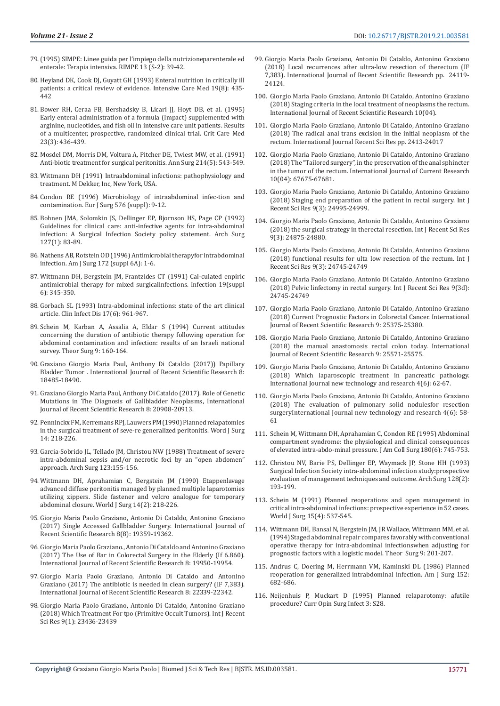- 79.(1995) SIMPE: Linee guida per l'impiego della nutrizioneparenterale ed enterale: Terapia intensiva. RIMPE 13 (S-2): 39-42.
- 80. [Heyland DK, Cook DJ, Guyatt GH \(1993\) Enteral nutrition in critically ill](https://link.springer.com/article/10.1007/BF01711083)  [patients: a critical review of evidence. Intensive Care Med 19\(8\): 435-](https://link.springer.com/article/10.1007/BF01711083) [442](https://link.springer.com/article/10.1007/BF01711083)
- 81. [Bower RH, Ceraa FB, Bershadsky B, Licari JJ, Hoyt DB, et al. \(1995\)](https://www.ncbi.nlm.nih.gov/pubmed/7874893)  [Early enteral administration of a formula \(Impact\) supplemented with](https://www.ncbi.nlm.nih.gov/pubmed/7874893)  [arginine, nucleotides, and fish oil in intensive care unit patients. Results](https://www.ncbi.nlm.nih.gov/pubmed/7874893)  [of a multicenter, prospective, randomized clinical trial. Crit Care Med](https://www.ncbi.nlm.nih.gov/pubmed/7874893)  [23\(3\): 436-439.](https://www.ncbi.nlm.nih.gov/pubmed/7874893)
- 82. [Mosdel DM, Morris DM, Voltura A, Pitcher DE, Twiest MW, et al. \(1991\)](https://www.ncbi.nlm.nih.gov/pubmed/1953104)  [Anti-biotic treatment for surgical peritonitis. Ann Surg 214\(5\): 543-549.](https://www.ncbi.nlm.nih.gov/pubmed/1953104)
- 83. Wittmann DH (1991) Intraabdominal infections: pathophysiology and treatment. M Dekker, Inc, New York, USA.
- 84. [Condon RE \(1996\) Microbiology of intraabdominal infec-tion and](https://www.ncbi.nlm.nih.gov/pubmed/8908461)  [contamination. Eur J Surg 576 \(suppl\): 9-12.](https://www.ncbi.nlm.nih.gov/pubmed/8908461)
- 85. [Bohnen JMA, Solomkin JS, Dellinger EP, Bjornson HS, Page CP \(1992\)](https://www.ncbi.nlm.nih.gov/pubmed/1734854)  [Guidelines for clinical care: anti-infective agents for intra-abdominal](https://www.ncbi.nlm.nih.gov/pubmed/1734854)  [infection: A Surgical Infection Society policy statement. Arch Surg](https://www.ncbi.nlm.nih.gov/pubmed/1734854)  [127\(1\): 83-89.](https://www.ncbi.nlm.nih.gov/pubmed/1734854)
- 86. Nathens AB, Rotstein OD (1996) Antimicrobial therapyfor intrabdominal infection. Am J Surg 172 (suppl 6A): 1-6.
- 87. [Wittmann DH, Bergstein JM, Frantzides CT \(1991\) Cal-culated enpiric](https://www.ncbi.nlm.nih.gov/pubmed/1791081)  [antimicrobial therapy for mixed surgicalinfections. Infection 19\(suppl](https://www.ncbi.nlm.nih.gov/pubmed/1791081)  [6\): 345-350.](https://www.ncbi.nlm.nih.gov/pubmed/1791081)
- 88. [Gorbach SL \(1993\) Intra-abdominal infections: state of the art clinical](https://www.ncbi.nlm.nih.gov/pubmed/8110953)  [article. Clin Infect Dis 17\(6\): 961-967.](https://www.ncbi.nlm.nih.gov/pubmed/8110953)
- 89. Schein M, Karban A, Assalia A, Eldar S (1994) Current attitudes concerning the duration of antibiotic therapy following operation for abdominal contamination and infection: results of an Israeli national survey. Theor Surg 9: 160-164.
- 90. [Graziano Giorgio Maria Paul, Anthony Di Cataldo \(2017\)\) Papillary](http://www.recentscientific.com/papillary-bladder-tumor)  [Bladder Tumor . International Journal of Recent Scientific Research 8:](http://www.recentscientific.com/papillary-bladder-tumor)  [18485-18490.](http://www.recentscientific.com/papillary-bladder-tumor)
- 91. Graziano Giorgio Maria Paul, Anthony Di Cataldo (2017). Role of Genetic Mutations in The Diagnosis of Gallbladder Neoplasms, International Journal of Recent Scientific Research 8: 20908-20913.
- 92. Penninckx FM, Kerremans RPJ, Lauwers PM (1990) Planned relapatomies in the surgical treatment of seve-re generalized peritonitis. Word J Surg 14: 218-226.
- 93. Garcia-Sobrido JL, Tellado JM, Christou NW (1988) Treatment of severe intra-abdominal sepsis and/or necrotic foci by an "open abdomen" approach. Arch Surg 123:155-156.
- 94. [Wittmann DH, Aprahamian C, Bergstein JM \(1990\) Etappenlavage](https://www.ncbi.nlm.nih.gov/pubmed/2183485)  [advanced diffuse peritonitis managed by planned multiple laparotomies](https://www.ncbi.nlm.nih.gov/pubmed/2183485)  [utilizing zippers. Slide fastener and velcro analogue for temporary](https://www.ncbi.nlm.nih.gov/pubmed/2183485)  [abdominal closure. World J Surg 14\(2\): 218-226.](https://www.ncbi.nlm.nih.gov/pubmed/2183485)
- 95. [Giorgio Maria Paolo Graziano, Antonio Di Cataldo, Antonino Graziano](http://recentscientific.com/sites/default/files/8385-A-2017.pdf)  [\(2017\) Single Accessed Gallbladder Surgery. International Journal of](http://recentscientific.com/sites/default/files/8385-A-2017.pdf)  [Recent Scientific Research 8\(8\): 19359-19362.](http://recentscientific.com/sites/default/files/8385-A-2017.pdf)
- 96. [Giorgio Maria Paolo Graziano., Antonio Di Cataldo and Antonino Graziano](http://recentscientific.com/use-bar-colorectal-surgery-elderly)  [\(2017\) The Use of Bar in Colorectal Surgery in the Elderly \(If 6.860\).](http://recentscientific.com/use-bar-colorectal-surgery-elderly)  [International Journal of Recent Scientific Research 8: 19950-19954.](http://recentscientific.com/use-bar-colorectal-surgery-elderly)
- 97. Giorgio Maria Paolo Graziano, Antonio Di Cataldo and Antonino Graziano (2017) The antibiotic is needed in clean surgery? (IF 7,383). International Journal of Recent Scientific Research 8: 22339-22342.
- 98. [Giorgio Maria Paolo Graziano, Antonio Di Cataldo, Antonino Graziano](http://recentscientific.com/which-treatment-tpo-primitive-occult-tumors)  [\(2018\) Which Treatment For tpo \(Primitive Occult Tumors\). Int J Recent](http://recentscientific.com/which-treatment-tpo-primitive-occult-tumors)  [Sci Res 9\(1\): 23436-23439](http://recentscientific.com/which-treatment-tpo-primitive-occult-tumors)
- 99. Giorgio Maria Paolo Graziano, Antonio Di Cataldo, Antonino Graziano (2018) Local recurrences after ultra-low resection of therectum (IF 7,383). International Journal of Recent Scientific Research pp. 24119- 24124.
- 100. Giorgio Maria Paolo Graziano, Antonio Di Cataldo, Antonino Graziano (2018) Staging criteria in the local treatment of neoplasms the rectum. International Journal of Recent Scientific Research 10(04).
- 101. Giorgio Maria Paolo Graziano, Antonio Di Cataldo, Antonino Graziano (2018) The radical anal trans excision in the initial neoplasm of the rectum. International Journal Recent Sci Res pp. 2413-24017
- 102. [Giorgio Maria Paolo Graziano, Antonio Di Cataldo, Antonino Graziano](http://www.journalcra.com/sites/default/files/issue-pdf/28878.pdf) [\(2018\) The "Tailored surgery", in the preservation of the anal sphincter](http://www.journalcra.com/sites/default/files/issue-pdf/28878.pdf) [in the tumor of the rectum. International Journal of Current Research](http://www.journalcra.com/sites/default/files/issue-pdf/28878.pdf) [10\(04\): 67675-67681.](http://www.journalcra.com/sites/default/files/issue-pdf/28878.pdf)
- 103. Giorgio Maria Paolo Graziano, Antonio Di Cataldo, Antonino Graziano (2018) Staging end preparation of the patient in rectal surgery. Int J Recent Sci Res 9(3): 24995-24999.
- 104. [Giorgio Maria Paolo Graziano, Antonio Di Cataldo, Antonino Graziano](http://www.recentscientific.com/surgical-strategy-rectal-resection) [\(2018\) the surgical strategy in therectal resection. Int J Recent Sci Res](http://www.recentscientific.com/surgical-strategy-rectal-resection) [9\(3\): 24875-24880.](http://www.recentscientific.com/surgical-strategy-rectal-resection)
- 105. Giorgio Maria Paolo Graziano, Antonio Di Cataldo, Antonino Graziano (2018) functional results for ulta low resection of the rectum. Int J Recent Sci Res 9(3): 24745-24749
- 106. Giorgio Maria Paolo Graziano, Antonio Di Cataldo, Antonino Graziano (2018) Pelvic linfectomy in rectal surgery. Int J Recent Sci Res 9(3d): 24745-24749
- 107. [Giorgio Maria Paolo Graziano, Antonio Di Cataldo, Antonino Graziano](https://www.recentscientific.com/current-prognostic-factors-colorectal-cancer) [\(2018\) Current Prognostic Factors in Colorectal Cancer. International](https://www.recentscientific.com/current-prognostic-factors-colorectal-cancer) [Journal of Recent Scientific Research 9: 25375-25380.](https://www.recentscientific.com/current-prognostic-factors-colorectal-cancer)
- 108. [Giorgio Maria Paolo Graziano, Antonio Di Cataldo, Antonino Graziano](http://recentscientific.com/manual-anastomosis-rectal-colon-today) [\(2018\) the manual anastomosis rectal colon today. International](http://recentscientific.com/manual-anastomosis-rectal-colon-today) [Journal of Recent Scientific Research 9: 25571-25575.](http://recentscientific.com/manual-anastomosis-rectal-colon-today)
- 109. [Giorgio Maria Paolo Graziano, Antonio Di Cataldo, Antonino Graziano](https://www.ijntr.org/download_data/IJNTR04060010.pdf) [\(2018\) Which laparoscopic treatment in pancreatic pathology.](https://www.ijntr.org/download_data/IJNTR04060010.pdf) [International Journal new technology and research 4\(6\): 62-67.](https://www.ijntr.org/download_data/IJNTR04060010.pdf)
- 110. [Giorgio Maria Paolo Graziano, Antonio Di Cataldo, Antonino Graziano](https://www.ijntr.org/download_data/IJNTR04060009.pdf) [\(2018\) The evaluation of pulmonary solid nodulesfor resection](https://www.ijntr.org/download_data/IJNTR04060009.pdf) [surgeryInternational Journal new technology and research 4\(6\): 58-](https://www.ijntr.org/download_data/IJNTR04060009.pdf) [61](https://www.ijntr.org/download_data/IJNTR04060009.pdf)
- 111. [Schein M, Wittmann DH, Aprahamian C, Condon RE \(1995\) Abdominal](https://www.ncbi.nlm.nih.gov/pubmed/7773495) [compartment syndrome: the physiological and clinical consequences](https://www.ncbi.nlm.nih.gov/pubmed/7773495) [of elevated intra-abdo-minal pressure. J Am Coll Surg 180\(6\): 745-753.](https://www.ncbi.nlm.nih.gov/pubmed/7773495)
- 112. [Christou NV, Barie PS, Dellinger EP, Waymack JP, Stone HH \(1993\)](https://www.ncbi.nlm.nih.gov/pubmed/8431120) [Surgical Infection Society intra-abdominal infection study:prospective](https://www.ncbi.nlm.nih.gov/pubmed/8431120) [evaluation of management techniques and outcome. Arch Surg 128\(2\):](https://www.ncbi.nlm.nih.gov/pubmed/8431120) [193-199.](https://www.ncbi.nlm.nih.gov/pubmed/8431120)
- 113. [Schein M \(1991\) Planned reoperations and open management in](https://link.springer.com/article/10.1007/BF01675658) [critical intra-abdominal infections: prospective experience in 52 cases.](https://link.springer.com/article/10.1007/BF01675658) [World J Surg 15\(4\): 537-545.](https://link.springer.com/article/10.1007/BF01675658)
- 114. [Wittmann DH, Bansal N, Bergstein JM,](https://www.researchgate.net/publication/276278880_Staged_abdominal_repair_compares_favorably_to_conventional_operative_therapy_for_intra-abdominal_infections_when_adjusting_for_prognostic_factors_with_a_logistic_model) JR Wallace, Wittmann MM, et al. [\(1994\) Staged abdominal repair compares favorably with conventional](https://www.researchgate.net/publication/276278880_Staged_abdominal_repair_compares_favorably_to_conventional_operative_therapy_for_intra-abdominal_infections_when_adjusting_for_prognostic_factors_with_a_logistic_model) [operative therapy for intra-abdominal infectionswhen adjusting for](https://www.researchgate.net/publication/276278880_Staged_abdominal_repair_compares_favorably_to_conventional_operative_therapy_for_intra-abdominal_infections_when_adjusting_for_prognostic_factors_with_a_logistic_model) [prognostic factors with a logistic model. Theor Surg 9: 201-207.](https://www.researchgate.net/publication/276278880_Staged_abdominal_repair_compares_favorably_to_conventional_operative_therapy_for_intra-abdominal_infections_when_adjusting_for_prognostic_factors_with_a_logistic_model)
- 115. Andrus C, Doering M, Herrmann VM, Kaminski DL (1986) Planned reoperation for generalized intrabdominal infection. Am J Surg 152: 682-686.
- 116. Neijenhuis P, Muckart D (1995) Planned relaparotomy: afutile procedure? Curr Opin Surg Infect 3: S28.